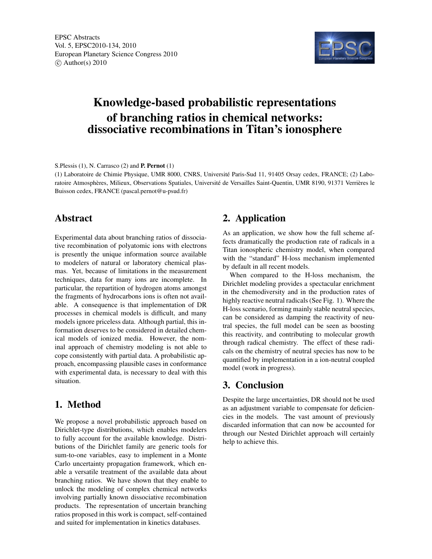

# Knowledge-based probabilistic representations of branching ratios in chemical networks: dissociative recombinations in Titan's ionosphere

S.Plessis (1), N. Carrasco (2) and P. Pernot (1)

(1) Laboratoire de Chimie Physique, UMR 8000, CNRS, Université Paris-Sud 11, 91405 Orsay cedex, FRANCE; (2) Laboratoire Atmosphères, Milieux, Observations Spatiales, Université de Versailles Saint-Quentin, UMR 8190, 91371 Verrières le Buisson cedex, FRANCE (pascal.pernot@u-psud.fr)

#### Abstract

Experimental data about branching ratios of dissociative recombination of polyatomic ions with electrons is presently the unique information source available to modelers of natural or laboratory chemical plasmas. Yet, because of limitations in the measurement techniques, data for many ions are incomplete. In particular, the repartition of hydrogen atoms amongst the fragments of hydrocarbons ions is often not available. A consequence is that implementation of DR processes in chemical models is difficult, and many models ignore priceless data. Although partial, this information deserves to be considered in detailed chemical models of ionized media. However, the nominal approach of chemistry modeling is not able to cope consistently with partial data. A probabilistic approach, encompassing plausible cases in conformance with experimental data, is necessary to deal with this situation.

### 1. Method

We propose a novel probabilistic approach based on Dirichlet-type distributions, which enables modelers to fully account for the available knowledge. Distributions of the Dirichlet family are generic tools for sum-to-one variables, easy to implement in a Monte Carlo uncertainty propagation framework, which enable a versatile treatment of the available data about branching ratios. We have shown that they enable to unlock the modeling of complex chemical networks involving partially known dissociative recombination products. The representation of uncertain branching ratios proposed in this work is compact, self-contained and suited for implementation in kinetics databases.

## 2. Application

As an application, we show how the full scheme affects dramatically the production rate of radicals in a Titan ionospheric chemistry model, when compared with the "standard" H-loss mechanism implemented by default in all recent models.

When compared to the H-loss mechanism, the Dirichlet modeling provides a spectacular enrichment in the chemodiversity and in the production rates of highly reactive neutral radicals (See Fig. 1). Where the H-loss scenario, forming mainly stable neutral species, can be considered as damping the reactivity of neutral species, the full model can be seen as boosting this reactivity, and contributing to molecular growth through radical chemistry. The effect of these radicals on the chemistry of neutral species has now to be quantified by implementation in a ion-neutral coupled model (work in progress).

### 3. Conclusion

Despite the large uncertainties, DR should not be used as an adjustment variable to compensate for deficiencies in the models. The vast amount of previously discarded information that can now be accounted for through our Nested Dirichlet approach will certainly help to achieve this.